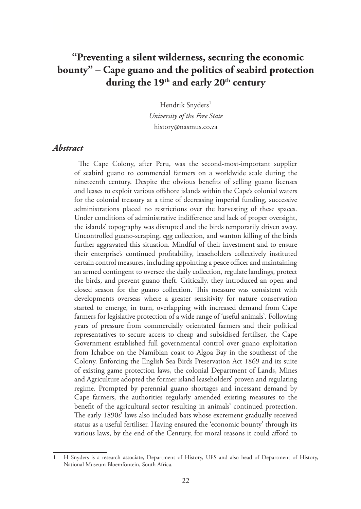# **"Preventing a silent wilderness, securing the economic bounty" – Cape guano and the politics of seabird protection**  during the 19<sup>th</sup> and early 20<sup>th</sup> century

Hendrik Snyders<sup>1</sup> *University of the Free State*  history@nasmus.co.za

#### *Abstract*

The Cape Colony, after Peru, was the second-most-important supplier of seabird guano to commercial farmers on a worldwide scale during the nineteenth century. Despite the obvious benefits of selling guano licenses and leases to exploit various offshore islands within the Cape's colonial waters for the colonial treasury at a time of decreasing imperial funding, successive administrations placed no restrictions over the harvesting of these spaces. Under conditions of administrative indifference and lack of proper oversight, the islands' topography was disrupted and the birds temporarily driven away. Uncontrolled guano-scraping, egg collection, and wanton killing of the birds further aggravated this situation. Mindful of their investment and to ensure their enterprise's continued profitability, leaseholders collectively instituted certain control measures, including appointing a peace officer and maintaining an armed contingent to oversee the daily collection, regulate landings, protect the birds, and prevent guano theft. Critically, they introduced an open and closed season for the guano collection. This measure was consistent with developments overseas where a greater sensitivity for nature conservation started to emerge, in turn, overlapping with increased demand from Cape farmers for legislative protection of a wide range of 'useful animals'. Following years of pressure from commercially orientated farmers and their political representatives to secure access to cheap and subsidised fertiliser, the Cape Government established full governmental control over guano exploitation from Ichaboe on the Namibian coast to Algoa Bay in the southeast of the Colony. Enforcing the English Sea Birds Preservation Act 1869 and its suite of existing game protection laws, the colonial Department of Lands, Mines and Agriculture adopted the former island leaseholders' proven and regulating regime. Prompted by perennial guano shortages and incessant demand by Cape farmers, the authorities regularly amended existing measures to the benefit of the agricultural sector resulting in animals' continued protection. The early 1890s' laws also included bats whose excrement gradually received status as a useful fertiliser. Having ensured the 'economic bounty' through its various laws, by the end of the Century, for moral reasons it could afford to

<sup>1</sup> H Snyders is a research associate, Department of History, UFS and also head of Department of History, National Museum Bloemfontein, South Africa.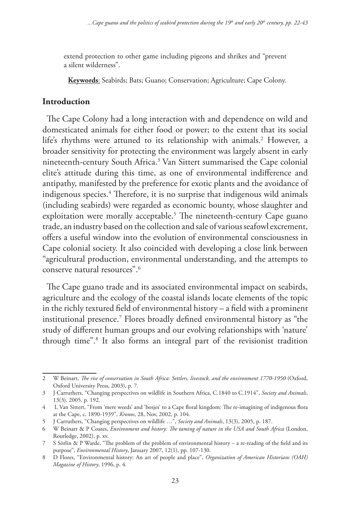extend protection to other game including pigeons and shrikes and "prevent a silent wilderness".

**Keywords**: Seabirds; Bats; Guano; Conservation; Agriculture; Cape Colony.

#### **Introduction**

The Cape Colony had a long interaction with and dependence on wild and domesticated animals for either food or power; to the extent that its social life's rhythms were attuned to its relationship with animals.2 However, a broader sensitivity for protecting the environment was largely absent in early nineteenth-century South Africa.3 Van Sittert summarised the Cape colonial elite's attitude during this time, as one of environmental indifference and antipathy, manifested by the preference for exotic plants and the avoidance of indigenous species.4 Therefore, it is no surprise that indigenous wild animals (including seabirds) were regarded as economic bounty, whose slaughter and exploitation were morally acceptable.<sup>5</sup> The nineteenth-century Cape guano trade, an industry based on the collection and sale of various seafowl excrement, offers a useful window into the evolution of environmental consciousness in Cape colonial society. It also coincided with developing a close link between "agricultural production, environmental understanding, and the attempts to conserve natural resources".6

The Cape guano trade and its associated environmental impact on seabirds, agriculture and the ecology of the coastal islands locate elements of the topic in the richly textured field of environmental history – a field with a prominent institutional presence.7 Flores broadly defined environmental history as "the study of different human groups and our evolving relationships with 'nature' through time".8 It also forms an integral part of the revisionist tradition

<sup>2</sup> W Beinart, *The rise of conservation in South Africa: Settlers, livestock, and the environment 1770-1950* (Oxford, Oxford University Press, 2003), p. 7.

<sup>3</sup> J Carruthers, "Changing perspectives on wildlife in Southern Africa, C.1840 to C.1914", *Society and Animals*, 13(3), 2005, p. 192.

<sup>4</sup> L Van Sittert, "From 'mere weeds' and 'bosjes' to a Cape floral kingdom: The re-imagining of indigenous flora at the Cape, c. 1890-1939", *Kronos*, 28, Nov, 2002, p. 104.

<sup>5</sup> J Carruthers, "Changing perspectives on wildlife …", *Society and Animals*, 13(3), 2005, p. 187.

<sup>6</sup> W Beinart & P Coates, *Environment and history: The taming of nature in the USA and South Africa* (London, Routledge, 2002), p. xv.

<sup>7</sup> S Sörlin & P Warde, "The problem of the problem of environmental history – a re-reading of the field and its purpose", *Environmental History*, January 2007, 12(1), pp. 107-130.

<sup>8</sup> D Flores, "Environmental history: An art of people and place", *Organization of American Historians (OAH) Magazine of History*, 1996, p. 4.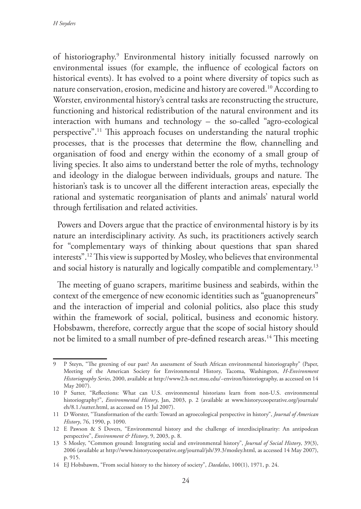of historiography.9 Environmental history initially focussed narrowly on environmental issues (for example, the influence of ecological factors on historical events). It has evolved to a point where diversity of topics such as nature conservation, erosion, medicine and history are covered.10 According to Worster, environmental history's central tasks are reconstructing the structure, functioning and historical redistribution of the natural environment and its interaction with humans and technology – the so-called "agro-ecological perspective".11 This approach focuses on understanding the natural trophic processes, that is the processes that determine the flow, channelling and organisation of food and energy within the economy of a small group of living species. It also aims to understand better the role of myths, technology and ideology in the dialogue between individuals, groups and nature. The historian's task is to uncover all the different interaction areas, especially the rational and systematic reorganisation of plants and animals' natural world through fertilisation and related activities.

Powers and Dovers argue that the practice of environmental history is by its nature an interdisciplinary activity. As such, its practitioners actively search for "complementary ways of thinking about questions that span shared interests".12 This view is supported by Mosley, who believes that environmental and social history is naturally and logically compatible and complementary.<sup>13</sup>

The meeting of guano scrapers, maritime business and seabirds, within the context of the emergence of new economic identities such as "guanopreneurs" and the interaction of imperial and colonial politics, also place this study within the framework of social, political, business and economic history. Hobsbawm, therefore, correctly argue that the scope of social history should not be limited to a small number of pre-defined research areas.<sup>14</sup> This meeting

<sup>9</sup> P Steyn, "The greening of our past? An assessment of South African environmental historiography" (Paper, Meeting of the American Society for Environmental History, Tacoma, Washington, *H-Environment Historiography Series*, 2000, available at http://www2.h-net.msu.edu/~environ/historiography, as accessed on 14 May 2007).

<sup>10</sup> P Sutter, "Reflections: What can U.S. environmental historians learn from non-U.S. environmental historiography?", *Environmental History*, Jan, 2003, p. 2 (available at www.historycooperative.org/journals/ eh/8.1./sutter.html, as accessed on 15 Jul 2007).

<sup>11</sup> D Worster, "Transformation of the earth: Toward an agroecological perspective in history", *Journal of American History*, 76, 1990, p. 1090.

<sup>12</sup> E Pawson & S Dovers, "Environmental history and the challenge of interdisciplinarity: An antipodean perspective", *Environment & History*, 9, 2003, p. 8.

<sup>13</sup> S Mosley, "Common ground: Integrating social and environmental history", *Journal of Social History*, 39(3), 2006 (available at http://www.historycooperative.org/journal/jsh/39.3/mosley.html, as accessed 14 May 2007), p. 915.

<sup>14</sup> EJ Hobsbawm, "From social history to the history of society", *Daedalus*, 100(1), 1971, p. 24.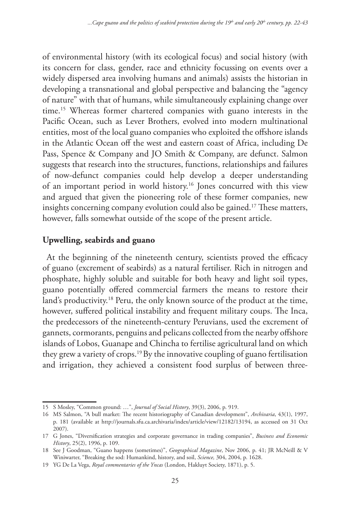of environmental history (with its ecological focus) and social history (with its concern for class, gender, race and ethnicity focussing on events over a widely dispersed area involving humans and animals) assists the historian in developing a transnational and global perspective and balancing the "agency of nature" with that of humans, while simultaneously explaining change over time.15 Whereas former chartered companies with guano interests in the Pacific Ocean, such as Lever Brothers, evolved into modern multinational entities, most of the local guano companies who exploited the offshore islands in the Atlantic Ocean off the west and eastern coast of Africa, including De Pass, Spence & Company and JO Smith & Company, are defunct. Salmon suggests that research into the structures, functions, relationships and failures of now-defunct companies could help develop a deeper understanding of an important period in world history.16 Jones concurred with this view and argued that given the pioneering role of these former companies, new insights concerning company evolution could also be gained.<sup>17</sup> These matters, however, falls somewhat outside of the scope of the present article.

## **Upwelling, seabirds and guano**

At the beginning of the nineteenth century, scientists proved the efficacy of guano (excrement of seabirds) as a natural fertiliser. Rich in nitrogen and phosphate, highly soluble and suitable for both heavy and light soil types, guano potentially offered commercial farmers the means to restore their land's productivity.<sup>18</sup> Peru, the only known source of the product at the time, however, suffered political instability and frequent military coups. The Inca, the predecessors of the nineteenth-century Peruvians, used the excrement of gannets, cormorants, penguins and pelicans collected from the nearby offshore islands of Lobos, Guanape and Chincha to fertilise agricultural land on which they grew a variety of crops.19 By the innovative coupling of guano fertilisation and irrigation, they achieved a consistent food surplus of between three-

<sup>15</sup> S Mosley, "Common ground: …", *Journal of Social History*, 39(3), 2006, p. 919.

<sup>16</sup> MS Salmon, "A bull market: The recent historiography of Canadian development", *Archivaria*, 43(1), 1997, p. 181 (available at http://journals.sfu.ca.archivaria/index/article/view/12182/13194, as accessed on 31 Oct 2007).

<sup>17</sup> G Jones, "Diversification strategies and corporate governance in trading companies", *Business and Economic History*, 25(2), 1996, p. 109.

<sup>18</sup> See J Goodman, "Guano happens (sometimes)", *Geographical Magazine*, Nov 2006, p. 41; JR McNeill & V Winiwarter, "Breaking the sod: Humankind, history, and soil, *Science,* 304, 2004, p. 1628.

<sup>19</sup> YG De La Vega, *Royal commentaries of the Yncas* (London, Hakluyt Society, 1871), p. 5.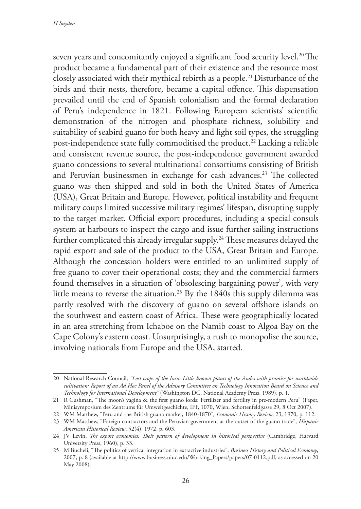seven years and concomitantly enjoyed a significant food security level.<sup>20</sup> The product became a fundamental part of their existence and the resource most closely associated with their mythical rebirth as a people.21 Disturbance of the birds and their nests, therefore, became a capital offence. This dispensation prevailed until the end of Spanish colonialism and the formal declaration of Peru's independence in 1821. Following European scientists' scientific demonstration of the nitrogen and phosphate richness, solubility and suitability of seabird guano for both heavy and light soil types, the struggling post-independence state fully commoditised the product.<sup>22</sup> Lacking a reliable and consistent revenue source, the post-independence government awarded guano concessions to several multinational consortiums consisting of British and Peruvian businessmen in exchange for cash advances.<sup>23</sup> The collected guano was then shipped and sold in both the United States of America (USA), Great Britain and Europe. However, political instability and frequent military coups limited successive military regimes' lifespan, disrupting supply to the target market. Official export procedures, including a special consuls system at harbours to inspect the cargo and issue further sailing instructions further complicated this already irregular supply.<sup>24</sup> These measures delayed the rapid export and sale of the product to the USA, Great Britain and Europe. Although the concession holders were entitled to an unlimited supply of free guano to cover their operational costs; they and the commercial farmers found themselves in a situation of 'obsolescing bargaining power', with very little means to reverse the situation.<sup>25</sup> By the 1840s this supply dilemma was partly resolved with the discovery of guano on several offshore islands on the southwest and eastern coast of Africa. These were geographically located in an area stretching from Ichaboe on the Namib coast to Algoa Bay on the Cape Colony's eastern coast. Unsurprisingly, a rush to monopolise the source, involving nationals from Europe and the USA, started.

<sup>20</sup> National Research Council, *"Lost crops of the Inca: Little known plants of the Andes with promise for worldwide cultivation: Report of an Ad Hoc Panel of the Advisory Committee on Technology Innovation Board on Science and Technology for International Development"* (Washington DC, National Academy Press, 1989), p. 1.

<sup>21</sup> R Cushman, "The moon's vagina & the first guano lords: Fertilizer and fertility in pre-modern Peru" (Paper, Minisymposium des Zentrums für Umweltgeschichte, IFF, 1070, Wien, Schottenfeldgasse 29, 8 Oct 2007).

<sup>22</sup> WM Matthew, "Peru and the British guano market, 1840-1870"*, Economic History Review*, 23, 1970, p. 112.

<sup>23</sup> WM Matthew, "Foreign contractors and the Peruvian government at the outset of the guano trade", *Hispanic American Historical Review*, 52(4), 1972, p. 603.

<sup>24</sup> JV Levin, *The export economies: Their pattern of development in historical perspective* (Cambridge, Harvard University Press, 1960), p. 33.

<sup>25</sup> M Bucheli, "The politics of vertical integration in extractive industries", *Business History and Political Economy*, 2007, p. 8 (available at http://www.business.uiuc.edu/Working\_Papers/papers/07-0112.pdf, as accessed on 20 May 2008).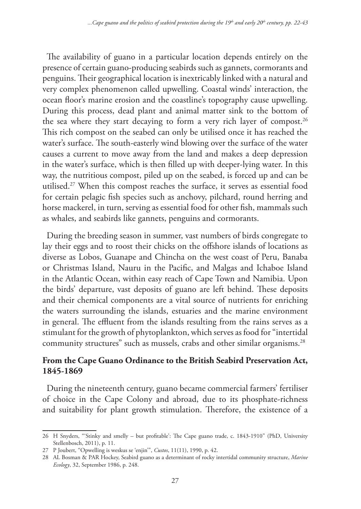The availability of guano in a particular location depends entirely on the presence of certain guano-producing seabirds such as gannets, cormorants and penguins. Their geographical location is inextricably linked with a natural and very complex phenomenon called upwelling. Coastal winds' interaction, the ocean floor's marine erosion and the coastline's topography cause upwelling. During this process, dead plant and animal matter sink to the bottom of the sea where they start decaying to form a very rich layer of compost.<sup>26</sup> This rich compost on the seabed can only be utilised once it has reached the water's surface. The south-easterly wind blowing over the surface of the water causes a current to move away from the land and makes a deep depression in the water's surface, which is then filled up with deeper-lying water. In this way, the nutritious compost, piled up on the seabed, is forced up and can be utilised.27 When this compost reaches the surface, it serves as essential food for certain pelagic fish species such as anchovy, pilchard, round herring and horse mackerel, in turn, serving as essential food for other fish, mammals such as whales, and seabirds like gannets, penguins and cormorants.

During the breeding season in summer, vast numbers of birds congregate to lay their eggs and to roost their chicks on the offshore islands of locations as diverse as Lobos, Guanape and Chincha on the west coast of Peru, Banaba or Christmas Island, Nauru in the Pacific, and Malgas and Ichaboe Island in the Atlantic Ocean, within easy reach of Cape Town and Namibia. Upon the birds' departure, vast deposits of guano are left behind. These deposits and their chemical components are a vital source of nutrients for enriching the waters surrounding the islands, estuaries and the marine environment in general. The effluent from the islands resulting from the rains serves as a stimulant for the growth of phytoplankton, which serves as food for "intertidal community structures" such as mussels, crabs and other similar organisms.<sup>28</sup>

# **From the Cape Guano Ordinance to the British Seabird Preservation Act, 1845-1869**

During the nineteenth century, guano became commercial farmers' fertiliser of choice in the Cape Colony and abroad, due to its phosphate-richness and suitability for plant growth stimulation. Therefore, the existence of a

<sup>26</sup> H Snyders, "'Stinky and smelly – but profitable': The Cape guano trade, c. 1843-1910" (PhD, University Stellenbosch, 2011), p. 11.

<sup>27</sup> P Joubert, "Opwelling is weskus se 'enjin'", *Custos*, 11(11), 1990, p. 42.

<sup>28</sup> AL Bosman & PAR Hockey, Seabird guano as a determinant of rocky intertidal community structure, *Marine Ecology*, 32, September 1986, p. 248.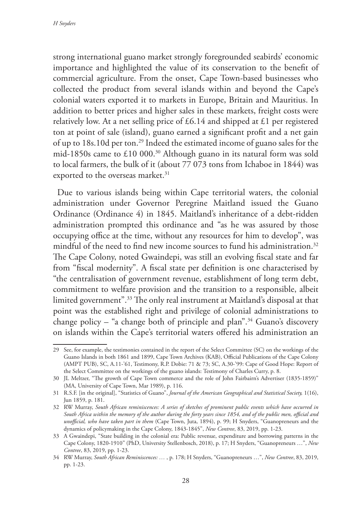strong international guano market strongly foregrounded seabirds' economic importance and highlighted the value of its conservation to the benefit of commercial agriculture. From the onset, Cape Town-based businesses who collected the product from several islands within and beyond the Cape's colonial waters exported it to markets in Europe, Britain and Mauritius. In addition to better prices and higher sales in these markets, freight costs were relatively low. At a net selling price of  $\text{\pounds}6.14$  and shipped at  $\text{\pounds}1$  per registered ton at point of sale (island), guano earned a significant profit and a net gain of up to 18s.10d per ton.29 Indeed the estimated income of guano sales for the mid-1850s came to £10 000.30 Although guano in its natural form was sold to local farmers, the bulk of it (about 77 073 tons from Ichaboe in 1844) was exported to the overseas market.<sup>31</sup>

Due to various islands being within Cape territorial waters, the colonial administration under Governor Peregrine Maitland issued the Guano Ordinance (Ordinance 4) in 1845. Maitland's inheritance of a debt-ridden administration prompted this ordinance and "as he was assured by those occupying office at the time, without any resources for him to develop", was mindful of the need to find new income sources to fund his administration.<sup>32</sup> The Cape Colony, noted Gwaindepi, was still an evolving fiscal state and far from "fiscal modernity". A fiscal state per definition is one characterised by "the centralisation of government revenue, establishment of long term debt, commitment to welfare provision and the transition to a responsible, albeit limited government".33 The only real instrument at Maitland's disposal at that point was the established right and privilege of colonial administrations to change policy – "a change both of principle and plan".<sup>34</sup> Guano's discovery on islands within the Cape's territorial waters offered his administration an

<sup>29</sup> See, for example, the testimonies contained in the report of the Select Committee (SC) on the workings of the Guano Islands in both 1861 and 1899, Cape Town Archives (KAB), Official Publications of the Cape Colony (AMPT PUB), SC, A.11-'61, Testimony, R.P. Dobie: 71 & 73; SC, A.30-'99: Cape of Good Hope: Report of the Select Committee on the workings of the guano islands: Testimony of Charles Curry, p. 8.

<sup>30</sup> JL Meltzer, "The growth of Cape Town commerce and the role of John Fairbairn's Advertiser (1835-1859)" (MA, University of Cape Town, Mar 1989), p. 116.

<sup>31</sup> R.S.F. [in the original], "Statistics of Guano", *Journal of the American Geographical and Statistical Society,* 1(16), Jun 1859, p. 181.

<sup>32</sup> RW Murray, *South African reminiscences: A series of sketches of prominent public events which have occurred in South Africa within the memory of the author during the forty years since 1854, and of the public men, official and unofficial, who have taken part in them* (Cape Town, Juta, 1894), p. 99; H Snyders, "Guanopreneurs and the dynamics of policymaking in the Cape Colony, 1843-1845", *New Contree*, 83, 2019, pp. 1-23.

<sup>33</sup> A Gwaindepi, "State building in the colonial era: Public revenue, expenditure and borrowing patterns in the Cape Colony, 1820-1910" (PhD, University Stellenbosch, 2018), p. 17; H Snyders, "Guanopreneurs …", *New Contree*, 83, 2019, pp. 1-23.

<sup>34</sup> RW Murray, *South African Reminiscences: …* , p. 178; H Snyders, "Guanopreneurs …", *New Contree*, 83, 2019, pp. 1-23.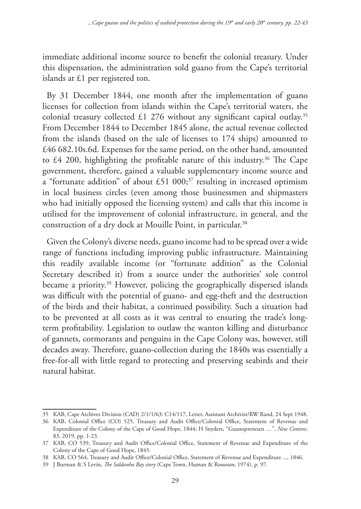immediate additional income source to benefit the colonial treasury. Under this dispensation, the administration sold guano from the Cape's territorial islands at £1 per registered ton.

By 31 December 1844, one month after the implementation of guano licenses for collection from islands within the Cape's territorial waters, the colonial treasury collected £1 276 without any significant capital outlay.<sup>35</sup> From December 1844 to December 1845 alone, the actual revenue collected from the islands (based on the sale of licenses to 174 ships) amounted to £46 682.10s.6d. Expenses for the same period, on the other hand, amounted to  $\text{\pounds}4$  200, highlighting the profitable nature of this industry.<sup>36</sup> The Cape government, therefore, gained a valuable supplementary income source and a "fortunate addition" of about £51 000;<sup>37</sup> resulting in increased optimism in local business circles (even among those businessmen and shipmasters who had initially opposed the licensing system) and calls that this income is utilised for the improvement of colonial infrastructure, in general, and the construction of a dry dock at Mouille Point, in particular.<sup>38</sup>

Given the Colony's diverse needs, guano income had to be spread over a wide range of functions including improving public infrastructure. Maintaining this readily available income (or "fortunate addition" as the Colonial Secretary described it) from a source under the authorities' sole control became a priority.<sup>39</sup> However, policing the geographically dispersed islands was difficult with the potential of guano- and egg-theft and the destruction of the birds and their habitat, a continued possibility. Such a situation had to be prevented at all costs as it was central to ensuring the trade's longterm profitability. Legislation to outlaw the wanton killing and disturbance of gannets, cormorants and penguins in the Cape Colony was, however, still decades away. Therefore, guano-collection during the 1840s was essentially a free-for-all with little regard to protecting and preserving seabirds and their natural habitat.

<sup>35</sup> KAB, Cape Archives Division (CAD) 2/1/1/63: C14/117, Letter, Assistant Archivist/RW Rand, 24 Sept 1948.

<sup>36</sup> KAB, Colonial Office (CO) 525, Treasury and Audit Office/Colonial Office, Statement of Revenue and Expenditure of the Colony of the Cape of Good Hope, 1844; H Snyders, "Guanopreneurs …", *New Contree*, 83, 2019, pp. 1-23.

<sup>37</sup> KAB, CO 539, Treasury and Audit Office/Colonial Office, Statement of Revenue and Expenditure of the Colony of the Cape of Good Hope, 1845.

<sup>38</sup> KAB, CO 564, Treasury and Audit Office/Colonial Office, Statement of Revenue and Expenditure ..., 1846.

<sup>39</sup> J Burman & S Levin, *The Saldanha Bay story* (Cape Town, Human & Rossouw, 1974), p. 97.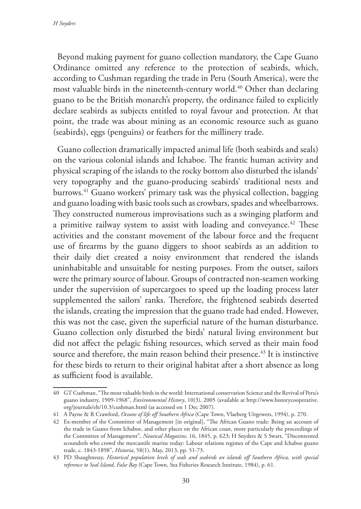Beyond making payment for guano collection mandatory, the Cape Guano Ordinance omitted any reference to the protection of seabirds, which, according to Cushman regarding the trade in Peru (South America), were the most valuable birds in the nineteenth-century world.<sup>40</sup> Other than declaring guano to be the British monarch's property, the ordinance failed to explicitly declare seabirds as subjects entitled to royal favour and protection. At that point, the trade was about mining as an economic resource such as guano (seabirds), eggs (penguins) or feathers for the millinery trade.

Guano collection dramatically impacted animal life (both seabirds and seals) on the various colonial islands and Ichaboe. The frantic human activity and physical scraping of the islands to the rocky bottom also disturbed the islands' very topography and the guano-producing seabirds' traditional nests and burrows.41 Guano workers' primary task was the physical collection, bagging and guano loading with basic tools such as crowbars, spades and wheelbarrows. They constructed numerous improvisations such as a swinging platform and a primitive railway system to assist with loading and conveyance.<sup>42</sup> These activities and the constant movement of the labour force and the frequent use of firearms by the guano diggers to shoot seabirds as an addition to their daily diet created a noisy environment that rendered the islands uninhabitable and unsuitable for nesting purposes. From the outset, sailors were the primary source of labour. Groups of contracted non-seamen working under the supervision of supercargoes to speed up the loading process later supplemented the sailors' ranks. Therefore, the frightened seabirds deserted the islands, creating the impression that the guano trade had ended. However, this was not the case, given the superficial nature of the human disturbance. Guano collection only disturbed the birds' natural living environment but did not affect the pelagic fishing resources, which served as their main food source and therefore, the main reason behind their presence.<sup>43</sup> It is instinctive for these birds to return to their original habitat after a short absence as long as sufficient food is available.

<sup>40</sup> GT Cushman, "The most valuable birds in the world: International conservation Science and the Revival of Peru's guano industry, 1909-1968", *Environmental History*, 10(3), 2005 (available at http://www.historycooperative. org/journals/eh/10.3/cushman.html (as accessed on 1 Dec 2007).

<sup>41</sup> A Payne & R Crawford, *Oceans of life off Southern Africa* (Cape Town, Vlaeberg Uitgewers, 1994), p. 270.

<sup>42</sup> Ex-member of the Committee of Management [in original], "The African Guano trade: Being an account of the trade in Guano from Ichaboe, and other places on the African coast, more particularly the proceedings of the Committee of Management", *Nautical Magazine*, 16, 1845, p. 623; H Snyders & S Swart, "Discontented scoundrels who crowd the mercantile marine today: Labour relations regimes of the Cape and Ichaboe guano trade, c. 1843-1898", *Historia*, 58(1), May, 2013, pp. 51-73.

<sup>43</sup> PD Shaughnessy, *Historical population levels of seals and seabirds on islands off Southern Africa, with special reference to Seal Island, False Bay* (Cape Town, Sea Fisheries Research Institute, 1984), p. 61.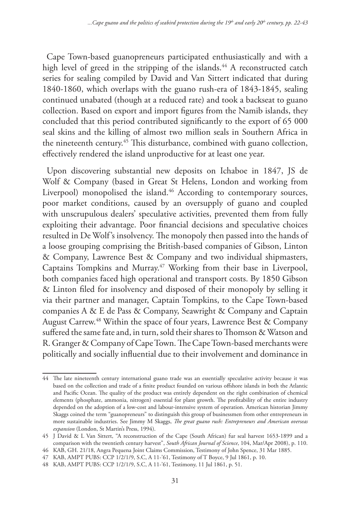Cape Town-based guanopreneurs participated enthusiastically and with a high level of greed in the stripping of the islands.<sup>44</sup> A reconstructed catch series for sealing compiled by David and Van Sittert indicated that during 1840-1860, which overlaps with the guano rush-era of 1843-1845, sealing continued unabated (though at a reduced rate) and took a backseat to guano collection. Based on export and import figures from the Namib islands, they concluded that this period contributed significantly to the export of 65 000 seal skins and the killing of almost two million seals in Southern Africa in the nineteenth century.<sup>45</sup> This disturbance, combined with guano collection, effectively rendered the island unproductive for at least one year.

Upon discovering substantial new deposits on Ichaboe in 1847, JS de Wolf & Company (based in Great St Helens, London and working from Liverpool) monopolised the island.<sup>46</sup> According to contemporary sources, poor market conditions, caused by an oversupply of guano and coupled with unscrupulous dealers' speculative activities, prevented them from fully exploiting their advantage. Poor financial decisions and speculative choices resulted in De Wolf's insolvency. The monopoly then passed into the hands of a loose grouping comprising the British-based companies of Gibson, Linton & Company, Lawrence Best & Company and two individual shipmasters, Captains Tompkins and Murray.47 Working from their base in Liverpool, both companies faced high operational and transport costs. By 1850 Gibson & Linton filed for insolvency and disposed of their monopoly by selling it via their partner and manager, Captain Tompkins, to the Cape Town-based companies A & E de Pass & Company, Seawright & Company and Captain August Carrew.48 Within the space of four years, Lawrence Best & Company suffered the same fate and, in turn, sold their shares to Thomson & Watson and R. Granger & Company of Cape Town. The Cape Town-based merchants were politically and socially influential due to their involvement and dominance in

<sup>44</sup> The late nineteenth century international guano trade was an essentially speculative activity because it was based on the collection and trade of a finite product founded on various offshore islands in both the Atlantic and Pacific Ocean. The quality of the product was entirely dependent on the right combination of chemical elements (phosphate, ammonia, nitrogen) essential for plant growth. The profitability of the entire industry depended on the adoption of a low-cost and labour-intensive system of operation. American historian Jimmy Skaggs coined the term "guanopreneurs" to distinguish this group of businessmen from other entrepreneurs in more sustainable industries. See Jimmy M Skaggs, *The great guano rush: Entrepreneurs and American overseas expansion* (London, St Martin's Press, 1994).

<sup>45</sup> J David & L Van Sittert, "A reconstruction of the Cape (South African) fur seal harvest 1653-1899 and a comparison with the twentieth century harvest", *South African Journal of Science*, 104, Mar/Apr 2008), p. 110.

<sup>46</sup> KAB, GH. 21/18, Angra Pequena Joint Claims Commission, Testimony of John Spence, 31 Mar 1885.

<sup>47</sup> KAB, AMPT PUBS: CCP 1/2/1/9, S.C, A 11-'61, Testimony of T Boyce, 9 Jul 1861, p. 10.

<sup>48</sup> KAB, AMPT PUBS: CCP 1/2/1/9, S.C, A 11-'61, Testimony, 11 Jul 1861, p. 51.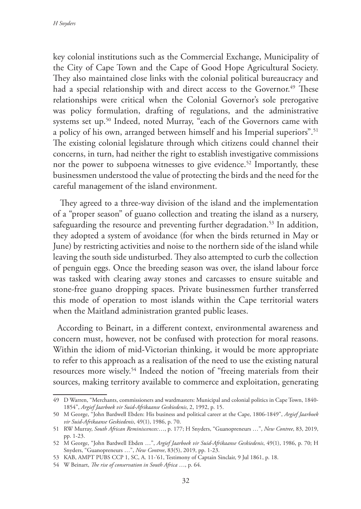key colonial institutions such as the Commercial Exchange, Municipality of the City of Cape Town and the Cape of Good Hope Agricultural Society. They also maintained close links with the colonial political bureaucracy and had a special relationship with and direct access to the Governor.<sup>49</sup> These relationships were critical when the Colonial Governor's sole prerogative was policy formulation, drafting of regulations, and the administrative systems set up.<sup>50</sup> Indeed, noted Murray, "each of the Governors came with a policy of his own, arranged between himself and his Imperial superiors".<sup>51</sup> The existing colonial legislature through which citizens could channel their concerns, in turn, had neither the right to establish investigative commissions nor the power to subpoena witnesses to give evidence.<sup>52</sup> Importantly, these businessmen understood the value of protecting the birds and the need for the careful management of the island environment.

 They agreed to a three-way division of the island and the implementation of a "proper season" of guano collection and treating the island as a nursery, safeguarding the resource and preventing further degradation.<sup>53</sup> In addition, they adopted a system of avoidance (for when the birds returned in May or June) by restricting activities and noise to the northern side of the island while leaving the south side undisturbed. They also attempted to curb the collection of penguin eggs. Once the breeding season was over, the island labour force was tasked with clearing away stones and carcasses to ensure suitable and stone-free guano dropping spaces. Private businessmen further transferred this mode of operation to most islands within the Cape territorial waters when the Maitland administration granted public leases.

According to Beinart, in a different context, environmental awareness and concern must, however, not be confused with protection for moral reasons. Within the idiom of mid-Victorian thinking, it would be more appropriate to refer to this approach as a realisation of the need to use the existing natural resources more wisely.54 Indeed the notion of "freeing materials from their sources, making territory available to commerce and exploitation, generating

<sup>49</sup> D Warren, "Merchants, commissioners and wardmasters: Municipal and colonial politics in Cape Town, 1840- 1854", *Argief Jaarboek vir Suid-Afrikaanse Geskiedenis*, 2, 1992, p. 15.

<sup>50</sup> M George, "John Bardwell Ebden: His business and political career at the Cape, 1806-1849", *Argief Jaarboek vir Suid-Afrikaanse Geskiedenis*, 49(1), 1986, p. 70.

<sup>51</sup> RW Murray, *South African Reminiscences:*…, p. 177; H Snyders, "Guanopreneurs …", *New Contree*, 83, 2019, pp. 1-23.

<sup>52</sup> M George, "John Bardwell Ebden …", *Argief Jaarboek vir Suid-Afrikaanse Geskiedenis*, 49(1), 1986, p. 70; H Snyders, "Guanopreneurs …", *New Contree*, 83(5), 2019, pp. 1-23.

<sup>53</sup> KAB, AMPT PUBS CCP 1, SC, A. 11-'61, Testimony of Captain Sinclair, 9 Jul 1861, p. 18.

<sup>54</sup> W Beinart, *The rise of conservation in South Africa* …, p. 64.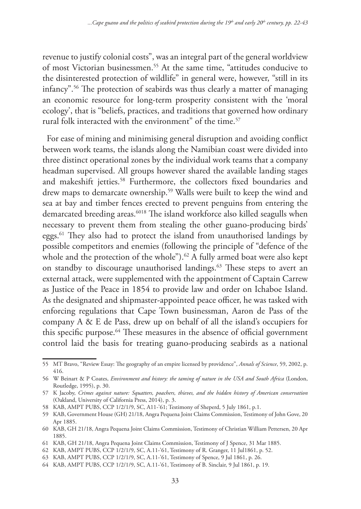revenue to justify colonial costs", was an integral part of the general worldview of most Victorian businessmen.55 At the same time, "attitudes conducive to the disinterested protection of wildlife" in general were, however, "still in its infancy".56 The protection of seabirds was thus clearly a matter of managing an economic resource for long-term prosperity consistent with the 'moral ecology', that is "beliefs, practices, and traditions that governed how ordinary rural folk interacted with the environment" of the time.<sup>57</sup>

For ease of mining and minimising general disruption and avoiding conflict between work teams, the islands along the Namibian coast were divided into three distinct operational zones by the individual work teams that a company headman supervised. All groups however shared the available landing stages and makeshift jetties.<sup>58</sup> Furthermore, the collectors fixed boundaries and drew maps to demarcate ownership.<sup>59</sup> Walls were built to keep the wind and sea at bay and timber fences erected to prevent penguins from entering the demarcated breeding areas.6018 The island workforce also killed seagulls when necessary to prevent them from stealing the other guano-producing birds' eggs.61 They also had to protect the island from unauthorised landings by possible competitors and enemies (following the principle of "defence of the whole and the protection of the whole").<sup>62</sup> A fully armed boat were also kept on standby to discourage unauthorised landings.<sup>63</sup> These steps to avert an external attack, were supplemented with the appointment of Captain Carrew as Justice of the Peace in 1854 to provide law and order on Ichaboe Island. As the designated and shipmaster-appointed peace officer, he was tasked with enforcing regulations that Cape Town businessman, Aaron de Pass of the company A & E de Pass, drew up on behalf of all the island's occupiers for this specific purpose.<sup>64</sup> These measures in the absence of official government control laid the basis for treating guano-producing seabirds as a national

<sup>55</sup> MT Bravo, "Review Essay: The geography of an empire licensed by providence", *Annals of Science*, 59, 2002, p. 416.

<sup>56</sup> W Beinart & P Coates, *Environment and history: the taming of nature in the USA and South Africa* (London, Routledge, 1995), p. 30.

<sup>57</sup> K Jacoby, *Crimes against nature: Squatters, poachers, thieves, and the hidden history of American conservation* (Oakland, University of California Press, 2014), p. 3.

<sup>58</sup> KAB, AMPT PUBS, CCP 1/2/1/9, SC, A11-'61; Testimony of Sheperd, 5 July 1861, p.1.

<sup>59</sup> KAB, Government House (GH) 21/18, Angra Pequena Joint Claims Commission, Testimony of John Gove, 20 Apr 1885.

<sup>60</sup> KAB, GH 21/18, Angra Pequena Joint Claims Commission, Testimony of Christian William Pettersen, 20 Apr 1885.

<sup>61</sup> KAB, GH 21/18, Angra Pequena Joint Claims Commission, Testimony of J Spence, 31 Mar 1885.

<sup>62</sup> KAB, AMPT PUBS, CCP 1/2/1/9, SC, A.11-'61, Testimony of R. Granger, 11 Jul1861, p. 52.

<sup>63</sup> KAB, AMPT PUBS, CCP 1/2/1/9, SC, A.11-'61, Testimony of Spence, 9 Jul 1861, p. 26.

<sup>64</sup> KAB, AMPT PUBS, CCP 1/2/1/9, SC, A.11-'61, Testimony of B. Sinclair, 9 Jul 1861, p. 19.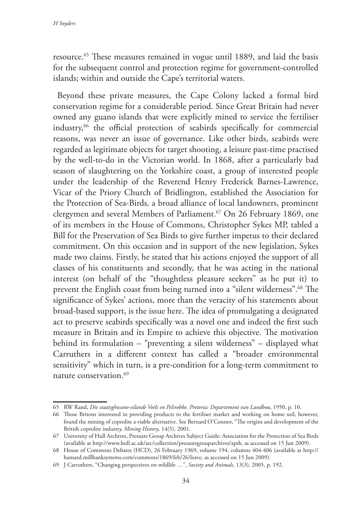resource.65 These measures remained in vogue until 1889, and laid the basis for the subsequent control and protection regime for government-controlled islands; within and outside the Cape's territorial waters.

Beyond these private measures, the Cape Colony lacked a formal bird conservation regime for a considerable period. Since Great Britain had never owned any guano islands that were explicitly mined to service the fertiliser industry,66 the official protection of seabirds specifically for commercial reasons, was never an issue of governance. Like other birds, seabirds were regarded as legitimate objects for target shooting, a leisure past-time practised by the well-to-do in the Victorian world. In 1868, after a particularly bad season of slaughtering on the Yorkshire coast, a group of interested people under the leadership of the Reverend Henry Frederick Barnes-Lawrence, Vicar of the Priory Church of Bridlington, established the Association for the Protection of Sea-Birds*,* a broad alliance of local landowners, prominent clergymen and several Members of Parliament.<sup>67</sup> On 26 February 1869, one of its members in the House of Commons, Christopher Sykes MP, tabled a Bill for the Preservation of Sea Birds to give further impetus to their declared commitment. On this occasion and in support of the new legislation, Sykes made two claims. Firstly, he stated that his actions enjoyed the support of all classes of his constituents and secondly, that he was acting in the national interest (on behalf of the "thoughtless pleasure seekers" as he put it) to prevent the English coast from being turned into a "silent wilderness".68 The significance of Sykes' actions, more than the veracity of his statements about broad-based support, is the issue here. The idea of promulgating a designated act to preserve seabirds specifically was a novel one and indeed the first such measure in Britain and its Empire to achieve this objective. The motivation behind its formulation – "preventing a silent wilderness" – displayed what Carruthers in a different context has called a "broader environmental sensitivity" which in turn, is a pre-condition for a long-term commitment to nature conservation.69

<sup>65</sup> RW Rand, *Die staatsghwano-eilande Voëls en Pelsrobbe. Pretoria: Departement van Landbou*, 1950, p. 10.

<sup>66</sup> Those Britons interested in providing products to the fertiliser market and working on home soil, however, found the mining of coprolite a viable alternative. See Bernard O'Connor, "The origins and development of the British coprolite industr*y, Mining History*, 14(5), 2001.

<sup>67</sup> University of Hull Archives, Pressure Group Archives Subject Guide: Association for the Protection of Sea Birds (available at http://www.hull.ac.uk/arc/collection/pressuregrouparchives/apsb, as accessed on 15 Jun 2009).

<sup>68</sup> House of Commons Debates (HCD), 26 February 1969, volume 194, columns 404-406 (available at http:// hansard.millbanksystems.com/commons/1869/feb/26/leave, as accessed on 15 Jun 2009).

<sup>69</sup> J Carruthers, "Changing perspectives on wildlife …", *Society and Animals*, 13(3), 2005, p. 192.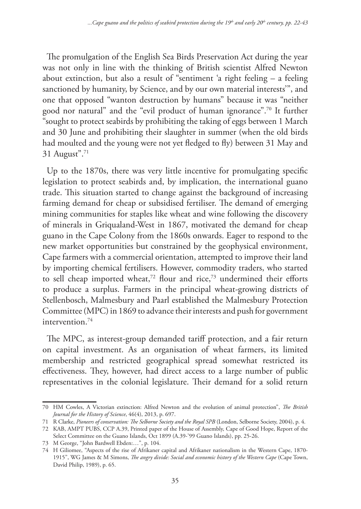The promulgation of the English Sea Birds Preservation Act during the year was not only in line with the thinking of British scientist Alfred Newton about extinction, but also a result of "sentiment 'a right feeling – a feeling sanctioned by humanity, by Science, and by our own material interests'", and one that opposed "wanton destruction by humans" because it was "neither good nor natural" and the "evil product of human ignorance".70 It further "sought to protect seabirds by prohibiting the taking of eggs between 1 March and 30 June and prohibiting their slaughter in summer (when the old birds had moulted and the young were not yet fledged to fly) between 31 May and 31 August".71

Up to the 1870s, there was very little incentive for promulgating specific legislation to protect seabirds and, by implication, the international guano trade. This situation started to change against the background of increasing farming demand for cheap or subsidised fertiliser. The demand of emerging mining communities for staples like wheat and wine following the discovery of minerals in Griqualand-West in 1867, motivated the demand for cheap guano in the Cape Colony from the 1860s onwards. Eager to respond to the new market opportunities but constrained by the geophysical environment, Cape farmers with a commercial orientation, attempted to improve their land by importing chemical fertilisers. However, commodity traders, who started to sell cheap imported wheat,<sup>72</sup> flour and rice,<sup>73</sup> undermined their efforts to produce a surplus. Farmers in the principal wheat-growing districts of Stellenbosch, Malmesbury and Paarl established the Malmesbury Protection Committee (MPC) in 1869 to advance their interests and push for government intervention.74

The MPC, as interest-group demanded tariff protection, and a fair return on capital investment. As an organisation of wheat farmers, its limited membership and restricted geographical spread somewhat restricted its effectiveness. They, however, had direct access to a large number of public representatives in the colonial legislature. Their demand for a solid return

<sup>70</sup> HM Cowles, A Victorian extinction: Alfred Newton and the evolution of animal protection", *The British Journal for the History of Science*, 46(4), 2013, p. 697.

<sup>71</sup> R Clarke, *Pioneers of conservation: The Selborne Society and the Royal SPB* (London, Selborne Society, 2004), p. 4.

<sup>72</sup> KAB, AMPT PUBS, CCP A.39, Printed paper of the House of Assembly, Cape of Good Hope, Report of the Select Committee on the Guano Islands, Oct 1899 (A.39-'99 Guano Islands), pp. 25-26.

<sup>73</sup> M George, "John Bardwell Ebden:…", p. 104.

<sup>74</sup> H Giliomee, "Aspects of the rise of Afrikaner capital and Afrikaner nationalism in the Western Cape, 1870- 1915", WG James & M Simons, *The angry divide: Social and economic history of the Western Cape* (Cape Town, David Philip, 1989), p. 65.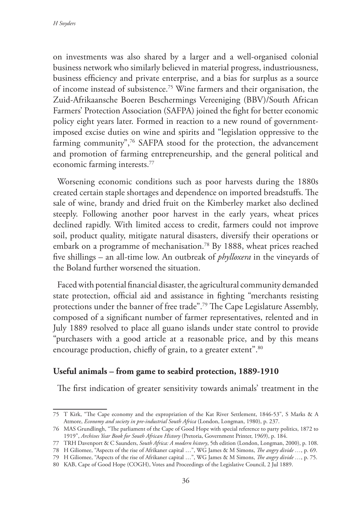on investments was also shared by a larger and a well-organised colonial business network who similarly believed in material progress, industriousness, business efficiency and private enterprise, and a bias for surplus as a source of income instead of subsistence.75 Wine farmers and their organisation, the Zuid-Afrikaansche Boeren Beschermings Vereeniging (BBV)/South African Farmers' Protection Association (SAFPA) joined the fight for better economic policy eight years later. Formed in reaction to a new round of governmentimposed excise duties on wine and spirits and "legislation oppressive to the farming community",<sup>76</sup> SAFPA stood for the protection, the advancement and promotion of farming entrepreneurship, and the general political and economic farming interests.77

Worsening economic conditions such as poor harvests during the 1880s created certain staple shortages and dependence on imported breadstuffs. The sale of wine, brandy and dried fruit on the Kimberley market also declined steeply. Following another poor harvest in the early years, wheat prices declined rapidly. With limited access to credit, farmers could not improve soil, product quality, mitigate natural disasters, diversify their operations or embark on a programme of mechanisation.<sup>78</sup> By 1888, wheat prices reached five shillings – an all-time low. An outbreak of *phylloxera* in the vineyards of the Boland further worsened the situation.

Faced with potential financial disaster, the agricultural community demanded state protection, official aid and assistance in fighting "merchants resisting protections under the banner of free trade".79 The Cape Legislature Assembly, composed of a significant number of farmer representatives, relented and in July 1889 resolved to place all guano islands under state control to provide "purchasers with a good article at a reasonable price, and by this means encourage production, chiefly of grain, to a greater extent".<sup>80</sup>

## **Useful animals – from game to seabird protection, 1889-1910**

The first indication of greater sensitivity towards animals' treatment in the

78 H Giliomee, "Aspects of the rise of Afrikaner capital …", WG James & M Simons, *The angry divide …*, p. 69.

<sup>75</sup> T Kirk, "The Cape economy and the expropriation of the Kat River Settlement, 1846-53", S Marks & A Atmore, *Economy and society in pre-industrial South Africa* (London, Longman, 1980), p. 237.

<sup>76</sup> MAS Grundlingh, "The parliament of the Cape of Good Hope with special reference to party politics, 1872 to 1919", *Archives Year Book for South African History* (Pretoria, Government Printer, 1969), p. 184.

<sup>77</sup> TRH Davenport & C Saunders, *South Africa: A modern history*, 5th edition (London, Longman, 2000), p. 108.

<sup>79</sup> H Giliomee, "Aspects of the rise of Afrikaner capital …", WG James & M Simons, *The angry divide …*, p. 75.

<sup>80</sup> KAB, Cape of Good Hope (COGH), Votes and Proceedings of the Legislative Council, 2 Jul 1889.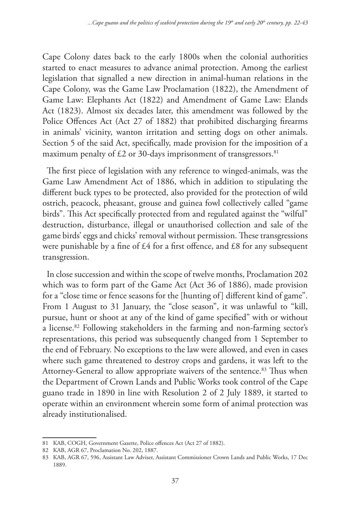Cape Colony dates back to the early 1800s when the colonial authorities started to enact measures to advance animal protection. Among the earliest legislation that signalled a new direction in animal-human relations in the Cape Colony, was the Game Law Proclamation (1822), the Amendment of Game Law: Elephants Act (1822) and Amendment of Game Law: Elands Act (1823). Almost six decades later, this amendment was followed by the Police Offences Act (Act 27 of 1882) that prohibited discharging firearms in animals' vicinity, wanton irritation and setting dogs on other animals. Section 5 of the said Act, specifically, made provision for the imposition of a maximum penalty of  $\text{\textsterling}2$  or 30-days imprisonment of transgressors.<sup>81</sup>

The first piece of legislation with any reference to winged-animals, was the Game Law Amendment Act of 1886, which in addition to stipulating the different buck types to be protected, also provided for the protection of wild ostrich, peacock, pheasant, grouse and guinea fowl collectively called "game birds". This Act specifically protected from and regulated against the "wilful" destruction, disturbance, illegal or unauthorised collection and sale of the game birds' eggs and chicks' removal without permission. These transgressions were punishable by a fine of £4 for a first offence, and £8 for any subsequent transgression.

In close succession and within the scope of twelve months, Proclamation 202 which was to form part of the Game Act (Act 36 of 1886), made provision for a "close time or fence seasons for the [hunting of] different kind of game". From 1 August to 31 January, the "close season", it was unlawful to "kill, pursue, hunt or shoot at any of the kind of game specified" with or without a license.82 Following stakeholders in the farming and non-farming sector's representations, this period was subsequently changed from 1 September to the end of February. No exceptions to the law were allowed, and even in cases where such game threatened to destroy crops and gardens, it was left to the Attorney-General to allow appropriate waivers of the sentence.<sup>83</sup> Thus when the Department of Crown Lands and Public Works took control of the Cape guano trade in 1890 in line with Resolution 2 of 2 July 1889, it started to operate within an environment wherein some form of animal protection was already institutionalised.

<sup>81</sup> KAB, COGH, Government Gazette, Police offences Act (Act 27 of 1882).

<sup>82</sup> KAB, AGR 67, Proclamation No. 202, 1887.

<sup>83</sup> KAB, AGR 67, 596, Assistant Law Adviser, Assistant Commissioner Crown Lands and Public Works, 17 Dec 1889.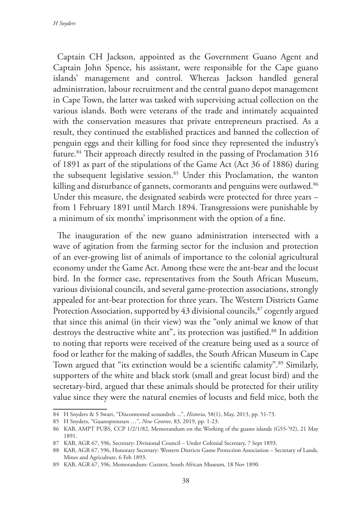Captain CH Jackson, appointed as the Government Guano Agent and Captain John Spence, his assistant, were responsible for the Cape guano islands' management and control. Whereas Jackson handled general administration, labour recruitment and the central guano depot management in Cape Town, the latter was tasked with supervising actual collection on the various islands. Both were veterans of the trade and intimately acquainted with the conservation measures that private entrepreneurs practised. As a result, they continued the established practices and banned the collection of penguin eggs and their killing for food since they represented the industry's future.84 Their approach directly resulted in the passing of Proclamation 316 of 1891 as part of the stipulations of the Game Act (Act 36 of 1886) during the subsequent legislative session.<sup>85</sup> Under this Proclamation, the wanton killing and disturbance of gannets, cormorants and penguins were outlawed.<sup>86</sup> Under this measure, the designated seabirds were protected for three years – from 1 February 1891 until March 1894. Transgressions were punishable by a minimum of six months' imprisonment with the option of a fine.

The inauguration of the new guano administration intersected with a wave of agitation from the farming sector for the inclusion and protection of an ever-growing list of animals of importance to the colonial agricultural economy under the Game Act. Among these were the ant-bear and the locust bird. In the former case, representatives from the South African Museum, various divisional councils, and several game-protection associations, strongly appealed for ant-bear protection for three years. The Western Districts Game Protection Association, supported by 43 divisional councils,<sup>87</sup> cogently argued that since this animal (in their view) was the "only animal we know of that destroys the destructive white ant", its protection was justified.<sup>88</sup> In addition to noting that reports were received of the creature being used as a source of food or leather for the making of saddles, the South African Museum in Cape Town argued that "its extinction would be a scientific calamity".<sup>89</sup> Similarly, supporters of the white and black stork (small and great locust bird) and the secretary-bird, argued that these animals should be protected for their utility value since they were the natural enemies of locusts and field mice, both the

<sup>84</sup> H Snyders & S Swart, "Discontented scoundrels ...", *Historia*, 58(1), May, 2013, pp. 51-73.

<sup>85</sup> H Snyders, "Guanopreneurs …", *New Contree*, 83, 2019, pp. 1-23.

<sup>86</sup> KAB, AMPT PUBS, CCP 1/2/1/82, Memorandum on the Working of the guano islands (G55-'92), 21 May 1891.

<sup>87</sup> KAB, AGR 67, 596, Secretary: Divisional Council – Under Colonial Secretary, 7 Sept 1893.

<sup>88</sup> KAB, AGR 67, 596, Honorary Secretary: Western Districts Game Protection Association – Secretary of Lands, Mines and Agriculture, 6 Feb 1893.

<sup>89</sup> KAB, AGR 67, 596, Memorandum: Curator, South African Museum, 18 Nov 1890.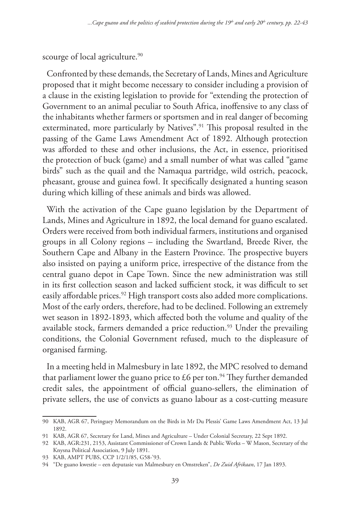scourge of local agriculture.<sup>90</sup>

Confronted by these demands, the Secretary of Lands, Mines and Agriculture proposed that it might become necessary to consider including a provision of a clause in the existing legislation to provide for "extending the protection of Government to an animal peculiar to South Africa, inoffensive to any class of the inhabitants whether farmers or sportsmen and in real danger of becoming exterminated, more particularly by Natives".<sup>91</sup> This proposal resulted in the passing of the Game Laws Amendment Act of 1892. Although protection was afforded to these and other inclusions, the Act, in essence, prioritised the protection of buck (game) and a small number of what was called "game birds" such as the quail and the Namaqua partridge, wild ostrich, peacock, pheasant, grouse and guinea fowl. It specifically designated a hunting season during which killing of these animals and birds was allowed.

With the activation of the Cape guano legislation by the Department of Lands, Mines and Agriculture in 1892, the local demand for guano escalated. Orders were received from both individual farmers, institutions and organised groups in all Colony regions – including the Swartland, Breede River, the Southern Cape and Albany in the Eastern Province. The prospective buyers also insisted on paying a uniform price, irrespective of the distance from the central guano depot in Cape Town. Since the new administration was still in its first collection season and lacked sufficient stock, it was difficult to set easily affordable prices.<sup>92</sup> High transport costs also added more complications. Most of the early orders, therefore, had to be declined. Following an extremely wet season in 1892-1893, which affected both the volume and quality of the available stock, farmers demanded a price reduction.<sup>93</sup> Under the prevailing conditions, the Colonial Government refused, much to the displeasure of organised farming.

In a meeting held in Malmesbury in late 1892, the MPC resolved to demand that parliament lower the guano price to £6 per ton.<sup>94</sup> They further demanded credit sales, the appointment of official guano-sellers, the elimination of private sellers, the use of convicts as guano labour as a cost-cutting measure

<sup>90</sup> KAB, AGR 67, Peringuey Memorandum on the Birds in Mr Du Plessis' Game Laws Amendment Act, 13 Jul 1892.

<sup>91</sup> KAB, AGR 67, Secretary for Land, Mines and Agriculture – Under Colonial Secretary, 22 Sept 1892.

<sup>92</sup> KAB, AGR:231, 2153, Assistant Commissioner of Crown Lands & Public Works – W Mason, Secretary of the Knysna Political Association, 9 July 1891.

<sup>93</sup> KAB, AMPT PUBS, CCP 1/2/1/85, G58-'93.

<sup>94</sup> "De guano kwestie – een deputasie van Malmesbury en Omstreken", *De Zuid Afrikaan*, 17 Jan 1893.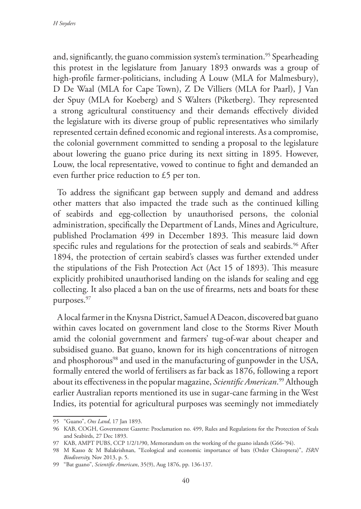and, significantly, the guano commission system's termination.<sup>95</sup> Spearheading this protest in the legislature from January 1893 onwards was a group of high-profile farmer-politicians, including A Louw (MLA for Malmesbury), D De Waal (MLA for Cape Town), Z De Villiers (MLA for Paarl), J Van der Spuy (MLA for Koeberg) and S Walters (Piketberg). They represented a strong agricultural constituency and their demands effectively divided the legislature with its diverse group of public representatives who similarly represented certain defined economic and regional interests. As a compromise, the colonial government committed to sending a proposal to the legislature about lowering the guano price during its next sitting in 1895. However, Louw, the local representative, vowed to continue to fight and demanded an even further price reduction to £5 per ton.

To address the significant gap between supply and demand and address other matters that also impacted the trade such as the continued killing of seabirds and egg-collection by unauthorised persons, the colonial administration, specifically the Department of Lands, Mines and Agriculture, published Proclamation 499 in December 1893. This measure laid down specific rules and regulations for the protection of seals and seabirds.<sup>96</sup> After 1894, the protection of certain seabird's classes was further extended under the stipulations of the Fish Protection Act (Act 15 of 1893). This measure explicitly prohibited unauthorised landing on the islands for sealing and egg collecting. It also placed a ban on the use of firearms, nets and boats for these purposes.<sup>97</sup>

A local farmer in the Knysna District, Samuel A Deacon, discovered bat guano within caves located on government land close to the Storms River Mouth amid the colonial government and farmers' tug-of-war about cheaper and subsidised guano. Bat guano, known for its high concentrations of nitrogen and phosphorous<sup>98</sup> and used in the manufacturing of gunpowder in the USA, formally entered the world of fertilisers as far back as 1876, following a report about its effectiveness in the popular magazine, *Scientific American*. 99 Although earlier Australian reports mentioned its use in sugar-cane farming in the West Indies, its potential for agricultural purposes was seemingly not immediately

<sup>95</sup> "Guano", *Ons Land*, 17 Jan 1893.

<sup>96</sup> KAB, COGH, Government Gazette: Proclamation no. 499, Rules and Regulations for the Protection of Seals and Seabirds, 27 Dec 1893.

<sup>97</sup> KAB, AMPT PUBS, CCP 1/2/1/90, Memorandum on the working of the guano islands (G66-'94).

<sup>98</sup> M Kasso & M Balakrishnan, "Ecological and economic importance of bats (Order Chiroptera)", *ISRN Biodiversity,* Nov 2013, p. 5.

<sup>99</sup> "Bat guano", *Scientific American*, 35(9), Aug 1876, pp. 136-137.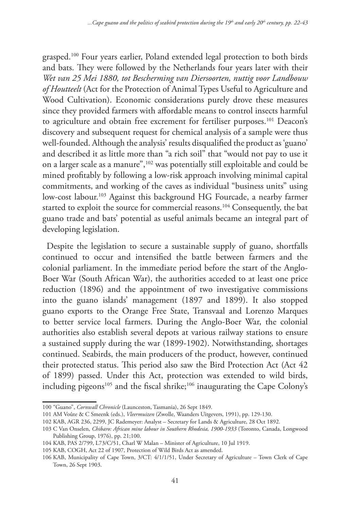grasped.100 Four years earlier, Poland extended legal protection to both birds and bats. They were followed by the Netherlands four years later with their *Wet van 25 Mei 1880, tot Bescherming van Diersoorten, nuttig voor Landbouw of Houtteelt* (Act for the Protection of Animal Types Useful to Agriculture and Wood Cultivation). Economic considerations purely drove these measures since they provided farmers with affordable means to control insects harmful to agriculture and obtain free excrement for fertiliser purposes.101 Deacon's discovery and subsequent request for chemical analysis of a sample were thus well-founded. Although the analysis' results disqualified the product as 'guano' and described it as little more than "a rich soil" that "would not pay to use it on a larger scale as a manure",102 was potentially still exploitable and could be mined profitably by following a low-risk approach involving minimal capital commitments, and working of the caves as individual "business units" using low-cost labour.<sup>103</sup> Against this background HG Fourcade, a nearby farmer started to exploit the source for commercial reasons.<sup>104</sup> Consequently, the bat guano trade and bats' potential as useful animals became an integral part of developing legislation.

Despite the legislation to secure a sustainable supply of guano, shortfalls continued to occur and intensified the battle between farmers and the colonial parliament. In the immediate period before the start of the Anglo-Boer War (South African War), the authorities acceded to at least one price reduction (1896) and the appointment of two investigative commissions into the guano islands' management (1897 and 1899). It also stopped guano exports to the Orange Free State, Transvaal and Lorenzo Marques to better service local farmers. During the Anglo-Boer War, the colonial authorities also establish several depots at various railway stations to ensure a sustained supply during the war (1899-1902). Notwithstanding, shortages continued. Seabirds, the main producers of the product, however, continued their protected status. This period also saw the Bird Protection Act (Act 42 of 1899) passed. Under this Act, protection was extended to wild birds, including pigeons<sup>105</sup> and the fiscal shrike;<sup>106</sup> inaugurating the Cape Colony's

<sup>100</sup> "Guano", *Cornwall Chronicle* (Launceston, Tasmania), 26 Sept 1849.

<sup>101</sup> AM Voûte & C Smeenk (eds.), *Vleermuizen* (Zwolle, Waanders Uitgevers, 1991), pp. 129-130.

<sup>102</sup> KAB, AGR 236, 2299, JC Rademeyer: Analyst – Secretary for Lands & Agriculture, 28 Oct 1892.

<sup>103</sup> C Van Onselen, *Chibaro: African mine labour in Southern Rhodesia, 1900-1933* (Toronto, Canada, Longwood Publishing Group, 1976), pp. 21;100.

<sup>104</sup> KAB, PAS 2/799, L73/C/51, Charl W Malan – Minister of Agriculture, 10 Jul 1919.

<sup>105</sup> KAB, COGH, Act 22 of 1907, Protection of Wild Birds Act as amended.

<sup>106</sup> KAB, Municipality of Cape Town, 3/CT: 4/1/1/51, Under Secretary of Agriculture – Town Clerk of Cape Town, 26 Sept 1903.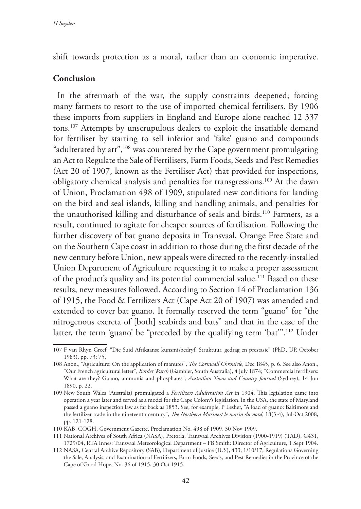shift towards protection as a moral, rather than an economic imperative.

#### **Conclusion**

In the aftermath of the war, the supply constraints deepened; forcing many farmers to resort to the use of imported chemical fertilisers. By 1906 these imports from suppliers in England and Europe alone reached 12 337 tons.107 Attempts by unscrupulous dealers to exploit the insatiable demand for fertiliser by starting to sell inferior and 'fake' guano and compounds "adulterated by art",<sup>108</sup> was countered by the Cape government promulgating an Act to Regulate the Sale of Fertilisers, Farm Foods, Seeds and Pest Remedies (Act 20 of 1907, known as the Fertiliser Act) that provided for inspections, obligatory chemical analysis and penalties for transgressions.109 At the dawn of Union, Proclamation 498 of 1909, stipulated new conditions for landing on the bird and seal islands, killing and handling animals, and penalties for the unauthorised killing and disturbance of seals and birds.<sup>110</sup> Farmers, as a result, continued to agitate for cheaper sources of fertilisation. Following the further discovery of bat guano deposits in Transvaal, Orange Free State and on the Southern Cape coast in addition to those during the first decade of the new century before Union, new appeals were directed to the recently-installed Union Department of Agriculture requesting it to make a proper assessment of the product's quality and its potential commercial value.<sup>111</sup> Based on these results, new measures followed. According to Section 14 of Proclamation 136 of 1915, the Food & Fertilizers Act (Cape Act 20 of 1907) was amended and extended to cover bat guano. It formally reserved the term "guano" for "the nitrogenous excreta of [both] seabirds and bats" and that in the case of the latter, the term 'guano' be "preceded by the qualifying term 'bat'".112 Under

<sup>107</sup> F van Rhyn Greef, "Die Suid Afrikaanse kunsmisbedryf: Struktuur, gedrag en prestasie" (PhD, UP, October 1983), pp. 73; 75.

<sup>108</sup> Anon., "Agriculture: On the application of manures", *The Cornwall Chronicle*, Dec 1845, p. 6. See also Anon., "Our French agricultural letter", *Border Watch* (Gambier, South Australia), 4 July 1874; "Commercial fertilisers: What are they? Guano, ammonia and phosphates", *Australian Town and Country Journal* (Sydney), 14 Jun 1890, p. 22.

<sup>109</sup> New South Wales (Australia) promulgated a *Fertilizers Adulteration Act* in 1904. This legislation came into operation a year later and served as a model for the Cape Colony's legislation. ln the USA, the state of Maryland passed a guano inspection law as far back as 1853. See, for example, P Lesher, "A load of guano: Baltimore and the fertilizer trade in the nineteenth century", *The Northern Mariner/ le marin du nord*, 18(3-4), Jul-Oct 2008, pp. 121-128.

<sup>110</sup> KAB, COGH, Government Gazette, Proclamation No. 498 of 1909, 30 Nov 1909.

<sup>111</sup> National Archives of South Africa (NASA), Pretoria, Transvaal Archives Division (1900-1919) (TAD), G431, 1729/04, RTA Innes: Transvaal Meteorological Department – FB Smith: Director of Agriculture, 1 Sept 1904.

<sup>112</sup> NASA, Central Archive Repository (SAB), Department of Justice (JUS), 433, 1/10/17, Regulations Governing the Sale, Analysis, and Examination of Fertilizers, Farm Foods, Seeds, and Pest Remedies in the Province of the Cape of Good Hope, No. 36 of 1915, 30 Oct 1915.